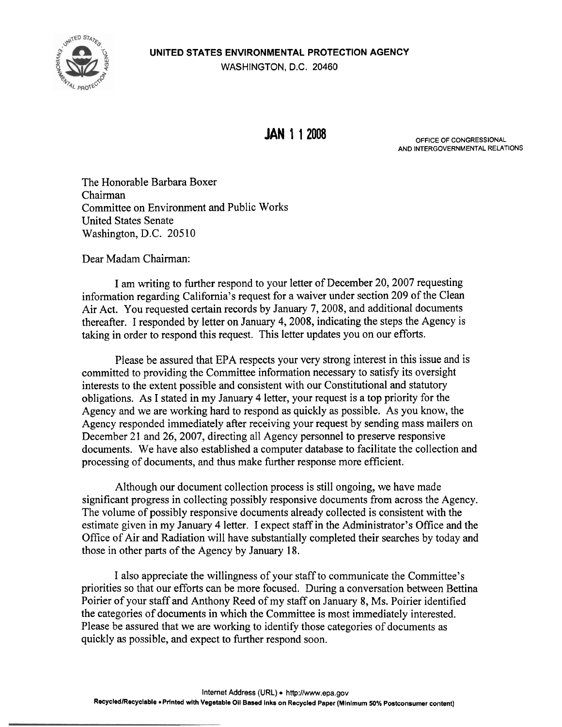**UNITED STATES ENVIRONMENTAL PROTECTION AGENCY** 



**WASHINGTON, D.C. 20460** 

**JAN 1 1 2008** OFFICE OF CONGRESSIONAL **AND INTERGOVERNMENTAL RELATIONS** 

The Honorable Barbara Boxer Chairman Committee on Environment and Public Works United States Senate Washington, D.C. 20510

Dear Madam Chairman:

I am writing to further respond to your letter of December 20,2007 requesting information regarding California's request for a waiver under section 209 of the Clean Air Act. You requested certain records by January 7,2008, and additional documents thereafter. I responded by letter on January 4,2008, indicating the steps the Agency is taking in order to respond this request. This letter updates you on our efforts.

Please be assured that EPA respects your very strong interest in this issue and is committed to providing the Committee information necessary to satisfy its oversight interests to the extent possible and consistent with our Constitutional and statutory obligations. As I stated in my January 4 letter, your request is a top priority for the Agency and we are working hard to respond as quickly as possible. As you know, the Agency responded immediately after receiving your request by sending mass mailers on December 21 and 26, 2007, directing all Agency personnel to preserve responsive documents. We have also established a computer database to facilitate the collection and processing of documents, and thus make further response more efficient.

Although our document collection process is still ongoing, we have made significant progress in collecting possibly responsive documents from across the Agency. The volume of possibly responsive documents already collected is consistent with the estimate given in my January 4 letter. I expect staff in the Administrator's Office and the Office of Air and Radiation will have substantially completed their searches by today and those in other parts of the Agency by January 18.

I also appreciate the willingness of your staff to communicate the Committee's priorities so that our efforts can be more focused. During a conversation between Bettina Poirier of your staff and Anthony Reed of my staff on January 8, Ms. Poirier identified the categories of documents in which the Committee is most immediately interested. Please be assured that we are working to identify those categories of documents as quickly as possible, and expect to further respond soon.